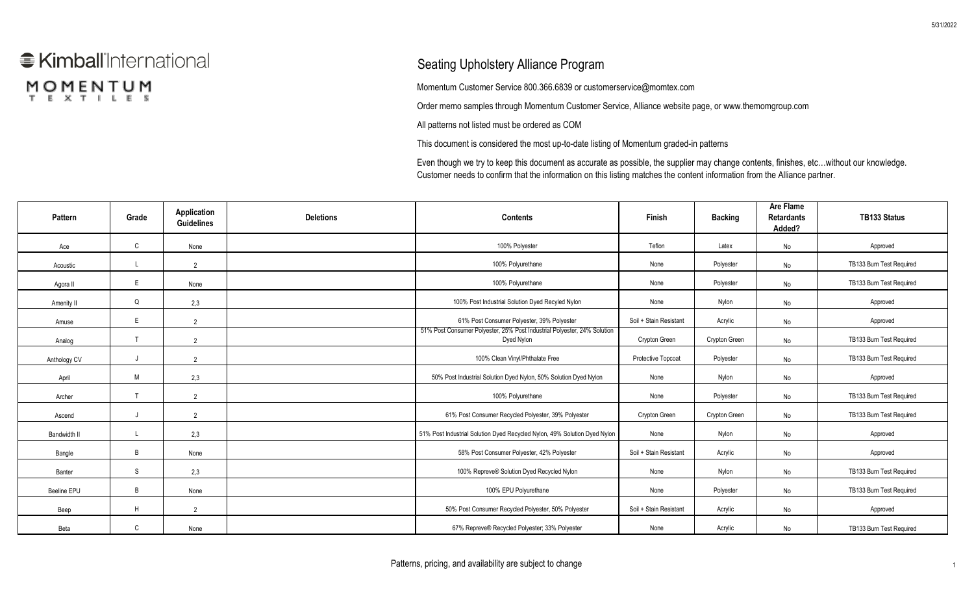## **E** Kimball'International MOMENTUM T E X T I L E S

## Seating Upholstery Alliance Program

Momentum Customer Service 800.366.6839 or customerservice@momtex.com

Order memo samples through Momentum Customer Service, Alliance website page, or www.themomgroup.com

All patterns not listed must be ordered as COM

This document is considered the most up-to-date listing of Momentum graded-in patterns

Even though we try to keep this document as accurate as possible, the supplier may change contents, finishes, etc…without our knowledge. Customer needs to confirm that the information on this listing matches the content information from the Alliance partner.

| <b>Pattern</b> | Grade        | Application<br><b>Guidelines</b> | <b>Deletions</b> | <b>Contents</b>                                                                        | Finish                 | <b>Backing</b> | <b>Are Flame</b><br><b>Retardants</b><br>Added? | TB133 Status             |
|----------------|--------------|----------------------------------|------------------|----------------------------------------------------------------------------------------|------------------------|----------------|-------------------------------------------------|--------------------------|
| Ace            | $\mathsf{C}$ | None                             |                  | 100% Polyester                                                                         | Teflon                 | Latex          | No                                              | Approved                 |
| Acoustic       |              | $\overline{2}$                   |                  | 100% Polyurethane                                                                      | None                   | Polyester      | No                                              | TB133 Burn Test Required |
| Agora II       | E            | None                             |                  | 100% Polyurethane                                                                      | None                   | Polyester      | No                                              | TB133 Burn Test Required |
| Amenity II     | $\Omega$     | 2,3                              |                  | 100% Post Industrial Solution Dyed Recyled Nylon                                       | None                   | Nylon          | No                                              | Approved                 |
| Amuse          | E            | $\overline{2}$                   |                  | 61% Post Consumer Polyester, 39% Polyester                                             | Soil + Stain Resistant | Acrylic        | No                                              | Approved                 |
| Analog         | $\tau$       | $\overline{2}$                   |                  | 51% Post Consumer Polyester, 25% Post Industrial Polyester, 24% Solution<br>Dyed Nylon | Crypton Green          | Crypton Green  | No                                              | TB133 Burn Test Required |
| Anthology CV   |              | $\overline{2}$                   |                  | 100% Clean Vinyl/Phthalate Free                                                        | Protective Topcoat     | Polyester      | No                                              | TB133 Burn Test Required |
| April          | M            | 2,3                              |                  | 50% Post Industrial Solution Dyed Nylon, 50% Solution Dyed Nylon                       | None                   | Nylon          | No                                              | Approved                 |
| Archer         |              | $\overline{2}$                   |                  | 100% Polyurethane                                                                      | None                   | Polyester      | No                                              | TB133 Burn Test Required |
| Ascend         |              | $\overline{2}$                   |                  | 61% Post Consumer Recycled Polyester, 39% Polyester                                    | Crypton Green          | Crypton Green  | No                                              | TB133 Burn Test Required |
| Bandwidth II   |              | 2,3                              |                  | 51% Post Industrial Solution Dyed Recycled Nylon, 49% Solution Dyed Nylon              | None                   | Nylon          | No                                              | Approved                 |
| Bangle         | B            | None                             |                  | 58% Post Consumer Polyester, 42% Polyester                                             | Soil + Stain Resistant | Acrylic        | No                                              | Approved                 |
| Banter         | S            | 2,3                              |                  | 100% Repreve® Solution Dyed Recycled Nylon                                             | None                   | Nylon          | No                                              | TB133 Burn Test Required |
| Beeline EPU    | B            | None                             |                  | 100% EPU Polyurethane                                                                  | None                   | Polyester      | No                                              | TB133 Burn Test Required |
| Beep           | H            | $\overline{2}$                   |                  | 50% Post Consumer Recycled Polyester, 50% Polyester                                    | Soil + Stain Resistant | Acrylic        | No                                              | Approved                 |
| Beta           | C            | None                             |                  | 67% Repreve® Recycled Polyester; 33% Polyester                                         | None                   | Acrylic        | No                                              | TB133 Burn Test Required |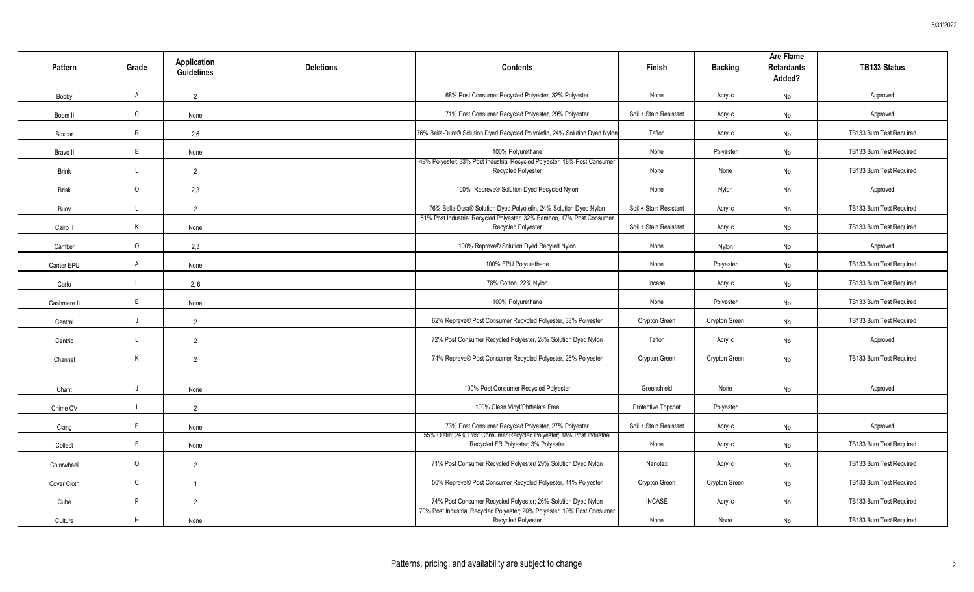| Pattern      | Grade          | Application<br><b>Guidelines</b> | <b>Deletions</b> | <b>Contents</b>                                                                                              | Finish                 | <b>Backing</b> | <b>Are Flame</b><br><b>Retardants</b><br>Added? | TB133 Status             |
|--------------|----------------|----------------------------------|------------------|--------------------------------------------------------------------------------------------------------------|------------------------|----------------|-------------------------------------------------|--------------------------|
| Bobby        | $\overline{A}$ | $\overline{2}$                   |                  | 68% Post Consumer Recycled Polyester, 32% Polyester                                                          | None                   | Acrylic        | No                                              | Approved                 |
| Boom II      | $\mathsf{C}$   | None                             |                  | 71% Post Consumer Recycled Polyester, 29% Polyester                                                          | Soil + Stain Resistant | Acrylic        | No                                              | Approved                 |
| Boxcar       | R              | 2,6                              |                  | 76% Bella-Dura® Solution Dyed Recycled Polyolefin, 24% Solution Dyed Nylon                                   | Teflon                 | Acrylic        | No                                              | TB133 Burn Test Required |
| Bravo II     | E              | None                             |                  | 100% Polyurethane                                                                                            | None                   | Polyester      | No                                              | TB133 Burn Test Required |
| <b>Brink</b> | $\mathbf{L}$   | 2                                |                  | 49% Polyester; 33% Post Industrial Recycled Polyester; 18% Post Consumer<br><b>Recycled Polyester</b>        | None                   | None           | No                                              | TB133 Burn Test Required |
| <b>Brisk</b> | $\circ$        | 2,3                              |                  | 100% Repreve® Solution Dyed Recycled Nylon                                                                   | None                   | Nylon          | No                                              | Approved                 |
| Buoy         | $\mathbf{I}$   | $\overline{2}$                   |                  | 76% Bella-Dura® Solution Dyed Polyolefin, 24% Solution Dyed Nylon                                            | Soil + Stain Resistant | Acrylic        | No                                              | TB133 Burn Test Required |
| Cairo II     | K              | None                             |                  | 51% Post Industrial Recycled Polyester, 32% Bamboo, 17% Post Consumer<br><b>Recycled Polyester</b>           | Soil + Stain Resistant | Acrylic        | No                                              | TB133 Burn Test Required |
| Camber       | $\circ$        | 2,3                              |                  | 100% Repreve® Solution Dyed Recyled Nylon                                                                    | None                   | Nylon          | No                                              | Approved                 |
| Canter EPU   | $\mathsf{A}$   | None                             |                  | 100% EPU Polyurethane                                                                                        | None                   | Polyester      | No                                              | TB133 Burn Test Required |
| Carlo        | $\perp$        | 2, 6                             |                  | 78% Cotton, 22% Nylon                                                                                        | Incase                 | Acrylic        | No                                              | TB133 Burn Test Required |
| Cashmere II  | E              | None                             |                  | 100% Polyurethane                                                                                            | None                   | Polyester      | No                                              | TB133 Burn Test Required |
| Central      | J              | $\overline{2}$                   |                  | 62% Repreve® Post Consumer Recycled Polyester, 38% Polyester                                                 | Crypton Green          | Crypton Green  | No                                              | TB133 Burn Test Required |
| Centric      | $\mathsf{L}$   | 2                                |                  | 72% Post Consumer Recycled Polyester, 28% Solution Dyed Nylon                                                | Teflon                 | Acrylic        | No                                              | Approved                 |
| Channel      | K              | $\overline{2}$                   |                  | 74% Repreve® Post Consumer Recycled Polyester, 26% Polyester                                                 | Crypton Green          | Crypton Green  | No                                              | TB133 Burn Test Required |
|              |                |                                  |                  |                                                                                                              |                        |                |                                                 |                          |
| Chant        | $\cdot$        | None                             |                  | 100% Post Consumer Recycled Polyester                                                                        | Greenshield            | None           | No                                              | Approved                 |
| Chime CV     |                | $\overline{2}$                   |                  | 100% Clean Vinyl/Phthalate Free                                                                              | Protective Topcoat     | Polyester      |                                                 |                          |
| Clang        | E              | None                             |                  | 73% Post Consumer Recycled Polyester, 27% Polyester                                                          | Soil + Stain Resistant | Acrylic        | No                                              | Approved                 |
| Collect      | F              | None                             |                  | 55% Olefin; 24% Post Consumer Recycled Polyester; 18% Post Industrial<br>Recycled FR Polyester; 3% Polyester | None                   | Acrylic        | No                                              | TB133 Burn Test Required |
| Colorwheel   | $\circ$        | 2                                |                  | 71% Post Consumer Recycled Polyester/ 29% Solution Dyed Nylon                                                | Nanotex                | Acrylic        | No                                              | TB133 Burn Test Required |
| Cover Cloth  | $\mathsf{C}$   | $\overline{1}$                   |                  | 56% Repreve® Post Consumer Recycled Polyester, 44% Polyester                                                 | Crypton Green          | Crypton Green  | No                                              | TB133 Burn Test Required |
| Cube         | P              | $\overline{2}$                   |                  | 74% Post Consumer Recycled Polyester; 26% Solution Dyed Nylon                                                | <b>INCASE</b>          | Acrylic        | No                                              | TB133 Burn Test Required |
| Culture      | H              | None                             |                  | 70% Post Industrial Recycled Polyester; 20% Polyester; 10% Post Consumer<br>Recycled Polyester               | None                   | None           | No                                              | TB133 Burn Test Required |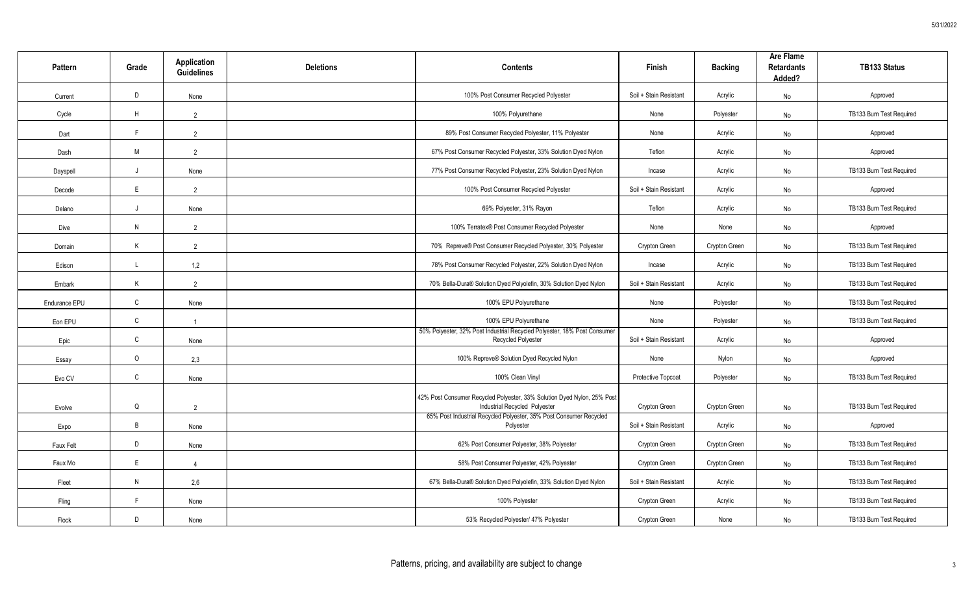| <b>Pattern</b> | Grade        | Application<br><b>Guidelines</b> | <b>Deletions</b> | <b>Contents</b>                                                                                          | Finish                 | <b>Backing</b> | <b>Are Flame</b><br><b>Retardants</b><br>Added? | TB133 Status             |
|----------------|--------------|----------------------------------|------------------|----------------------------------------------------------------------------------------------------------|------------------------|----------------|-------------------------------------------------|--------------------------|
| Current        | D            | None                             |                  | 100% Post Consumer Recycled Polyester                                                                    | Soil + Stain Resistant | Acrylic        | No                                              | Approved                 |
| Cycle          | H            | $\overline{2}$                   |                  | 100% Polyurethane                                                                                        | None                   | Polyester      | No                                              | TB133 Burn Test Required |
| Dart           | E.           | $\overline{2}$                   |                  | 89% Post Consumer Recycled Polyester, 11% Polyester                                                      | None                   | Acrylic        | No                                              | Approved                 |
| Dash           | M            | $\overline{2}$                   |                  | 67% Post Consumer Recycled Polyester, 33% Solution Dyed Nylon                                            | Teflon                 | Acrylic        | No                                              | Approved                 |
| Dayspell       | $\mathsf{J}$ | None                             |                  | 77% Post Consumer Recycled Polyester, 23% Solution Dyed Nylon                                            | Incase                 | Acrylic        | No                                              | TB133 Burn Test Required |
| Decode         | E            | $\overline{2}$                   |                  | 100% Post Consumer Recycled Polyester                                                                    | Soil + Stain Resistant | Acrylic        | No                                              | Approved                 |
| Delano         | $\mathsf{J}$ | None                             |                  | 69% Polyester, 31% Rayon                                                                                 | Teflon                 | Acrylic        | No                                              | TB133 Burn Test Required |
| Dive           | N            | $\overline{2}$                   |                  | 100% Terratex® Post Consumer Recycled Polyester                                                          | None                   | None           | No                                              | Approved                 |
| Domain         | K            | $\overline{2}$                   |                  | 70% Repreve® Post Consumer Recycled Polyester, 30% Polyester                                             | Crypton Green          | Crypton Green  | No                                              | TB133 Burn Test Required |
| Edison         | $\mathbf{L}$ | 1,2                              |                  | 78% Post Consumer Recycled Polyester, 22% Solution Dyed Nylon                                            | Incase                 | Acrylic        | No                                              | TB133 Burn Test Required |
| Embark         | K            | $\overline{2}$                   |                  | 70% Bella-Dura® Solution Dyed Polyolefin, 30% Solution Dyed Nylon                                        | Soil + Stain Resistant | Acrylic        | No                                              | TB133 Burn Test Required |
| Endurance EPU  | $\mathsf{C}$ | None                             |                  | 100% EPU Polyurethane                                                                                    | None                   | Polyester      | No                                              | TB133 Burn Test Required |
| Eon EPU        | $\mathtt{C}$ | $\overline{1}$                   |                  | 100% EPU Polyurethane                                                                                    | None                   | Polyester      | No                                              | TB133 Burn Test Required |
| Epic           | $\mathsf{C}$ | None                             |                  | 50% Polyester, 32% Post Industrial Recycled Polyester, 18% Post Consumer<br>Recycled Polyester           | Soil + Stain Resistant | Acrylic        | No                                              | Approved                 |
| Essay          | $\circ$      | 2,3                              |                  | 100% Repreve® Solution Dyed Recycled Nylon                                                               | None                   | Nylon          | No                                              | Approved                 |
| Evo CV         | $\mathsf{C}$ | None                             |                  | 100% Clean Vinyl                                                                                         | Protective Topcoat     | Polyester      | No                                              | TB133 Burn Test Required |
| Evolve         | $\mathsf{Q}$ | $\overline{2}$                   |                  | 42% Post Consumer Recycled Polyester, 33% Solution Dyed Nylon, 25% Post<br>Industrial Recycled Polyester | Crypton Green          | Crypton Green  | No                                              | TB133 Burn Test Required |
| Expo           | B            | None                             |                  | 65% Post Industrial Recycled Polyester, 35% Post Consumer Recycled<br>Polyester                          | Soil + Stain Resistant | Acrylic        | No                                              | Approved                 |
| Faux Felt      | D            | None                             |                  | 62% Post Consumer Polyester, 38% Polyester                                                               | Crypton Green          | Crypton Green  | No                                              | TB133 Burn Test Required |
| Faux Mo        | $\mathsf{F}$ | $\overline{4}$                   |                  | 58% Post Consumer Polyester, 42% Polyester                                                               | Crypton Green          | Crypton Green  | No                                              | TB133 Burn Test Required |
| Fleet          | $\mathsf{N}$ | 2,6                              |                  | 67% Bella-Dura® Solution Dyed Polyolefin, 33% Solution Dyed Nylon                                        | Soil + Stain Resistant | Acrylic        | No                                              | TB133 Burn Test Required |
| Fling          | F            | None                             |                  | 100% Polyester                                                                                           | Crypton Green          | Acrylic        | No                                              | TB133 Burn Test Required |
| Flock          | D            | None                             |                  | 53% Recycled Polyester/ 47% Polyester                                                                    | Crypton Green          | None           | No                                              | TB133 Burn Test Required |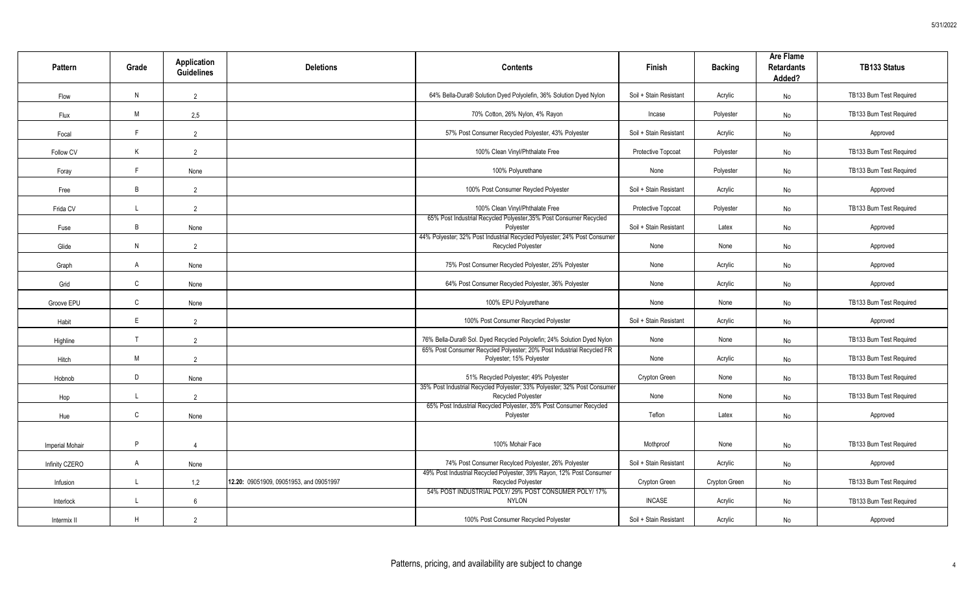| Pattern                | Grade        | Application<br><b>Guidelines</b> | <b>Deletions</b>                        | <b>Contents</b>                                                                                   | Finish                 | <b>Backing</b> | <b>Are Flame</b><br>Retardants<br>Added? | TB133 Status             |
|------------------------|--------------|----------------------------------|-----------------------------------------|---------------------------------------------------------------------------------------------------|------------------------|----------------|------------------------------------------|--------------------------|
| Flow                   | N            | 2                                |                                         | 64% Bella-Dura® Solution Dyed Polyolefin, 36% Solution Dyed Nylon                                 | Soil + Stain Resistant | Acrylic        | No                                       | TB133 Burn Test Required |
| Flux                   | M            | 2,5                              |                                         | 70% Cotton, 26% Nylon, 4% Rayon                                                                   | Incase                 | Polyester      | No                                       | TB133 Burn Test Required |
| Focal                  | F.           | $\overline{2}$                   |                                         | 57% Post Consumer Recycled Polyester, 43% Polyester                                               | Soil + Stain Resistant | Acrylic        | No                                       | Approved                 |
| Follow CV              | K            | $\overline{2}$                   |                                         | 100% Clean Vinyl/Phthalate Free                                                                   | Protective Topcoat     | Polyester      | No                                       | TB133 Burn Test Required |
| Foray                  | F            | None                             |                                         | 100% Polyurethane                                                                                 | None                   | Polyester      | No                                       | TB133 Burn Test Required |
| Free                   | B            | 2                                |                                         | 100% Post Consumer Reycled Polyester                                                              | Soil + Stain Resistant | Acrylic        | No                                       | Approved                 |
| Frida CV               | L            | $\overline{2}$                   |                                         | 100% Clean Vinyl/Phthalate Free                                                                   | Protective Topcoat     | Polyester      | No                                       | TB133 Burn Test Required |
| Fuse                   | $\mathsf{B}$ | None                             |                                         | 65% Post Industrial Recycled Polyester, 35% Post Consumer Recycled<br>Polyester                   | Soil + Stain Resistant | Latex          | No                                       | Approved                 |
| Glide                  | N            | $\overline{2}$                   |                                         | 44% Polyester; 32% Post Industrial Recycled Polyester; 24% Post Consumer<br>Recycled Polyester    | None                   | None           | No                                       | Approved                 |
| Graph                  | A            | None                             |                                         | 75% Post Consumer Recycled Polyester, 25% Polyester                                               | None                   | Acrylic        | No                                       | Approved                 |
| Grid                   | C            | None                             |                                         | 64% Post Consumer Recycled Polyester, 36% Polyester                                               | None                   | Acrylic        | No                                       | Approved                 |
| Groove EPU             | $\mathsf C$  | None                             |                                         | 100% EPU Polyurethane                                                                             | None                   | None           | No                                       | TB133 Burn Test Required |
| Habit                  | E            | 2                                |                                         | 100% Post Consumer Recycled Polyester                                                             | Soil + Stain Resistant | Acrylic        | No                                       | Approved                 |
| Highline               | T            | $\overline{2}$                   |                                         | 76% Bella-Dura® Sol. Dyed Recycled Polyolefin; 24% Solution Dyed Nylon                            | None                   | None           | No                                       | TB133 Burn Test Required |
| Hitch                  | M            | $\overline{2}$                   |                                         | 65% Post Consumer Recycled Polyester; 20% Post Industrial Recycled FR<br>Polyester; 15% Polyester | None                   | Acrylic        | No                                       | TB133 Burn Test Required |
| Hobnob                 | D            | None                             |                                         | 51% Recycled Polyester; 49% Polyester                                                             | Crypton Green          | None           | No                                       | TB133 Burn Test Required |
| Hop                    | L            | $\overline{2}$                   |                                         | 35% Post Industrial Recycled Polyester; 33% Polyester; 32% Post Consumer<br>Recycled Polyester    | None                   | None           | No                                       | TB133 Burn Test Required |
| Hue                    | C            | None                             |                                         | 65% Post Industrial Recycled Polyester, 35% Post Consumer Recycled<br>Polyester                   | Teflon                 | Latex          | No                                       | Approved                 |
|                        |              |                                  |                                         |                                                                                                   |                        |                |                                          |                          |
| <b>Imperial Mohair</b> | P            | $\overline{4}$                   |                                         | 100% Mohair Face                                                                                  | Mothproof              | None           | No                                       | TB133 Burn Test Required |
| Infinity CZERO         | $\mathsf{A}$ | None                             |                                         | 74% Post Consumer Recylced Polyester, 26% Polyester                                               | Soil + Stain Resistant | Acrylic        | No                                       | Approved                 |
| Infusion               | L            | 1,2                              | 12.20: 09051909, 09051953, and 09051997 | 49% Post Industrial Recycled Polyester, 39% Rayon, 12% Post Consumer<br><b>Recycled Polyester</b> | Crypton Green          | Crypton Green  | No                                       | TB133 Burn Test Required |
| Interlock              | L            | 6                                |                                         | 54% POST INDUSTRIAL POLY/29% POST CONSUMER POLY/17%<br><b>NYLON</b>                               | <b>INCASE</b>          | Acrylic        | No                                       | TB133 Burn Test Required |
| Intermix II            | H            | $\overline{2}$                   |                                         | 100% Post Consumer Recycled Polyester                                                             | Soil + Stain Resistant | Acrylic        | No                                       | Approved                 |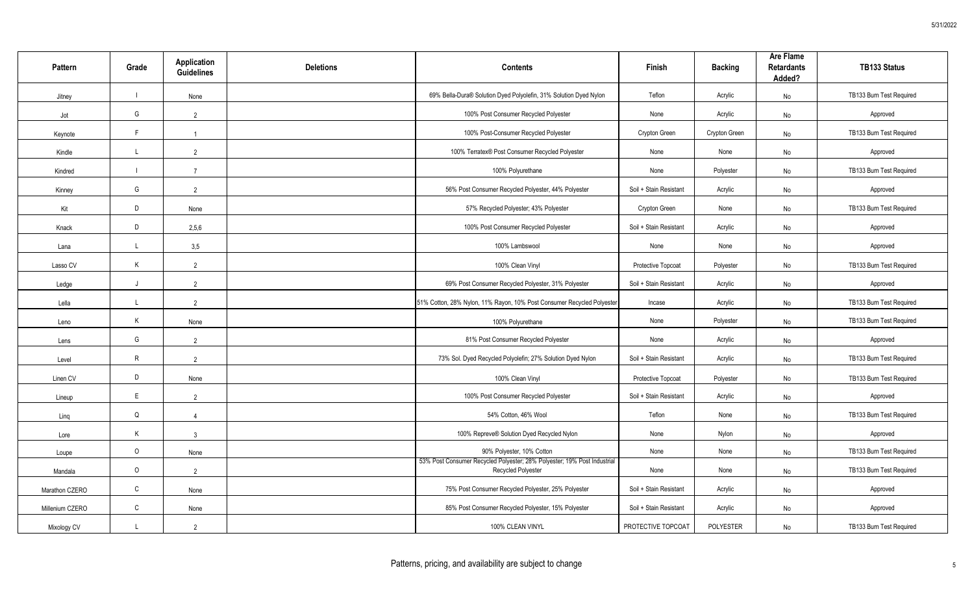| Pattern         | Grade        | Application<br><b>Guidelines</b> | <b>Deletions</b> | <b>Contents</b>                                                                                       | Finish                 | <b>Backing</b>   | <b>Are Flame</b><br><b>Retardants</b><br>Added? | TB133 Status             |
|-----------------|--------------|----------------------------------|------------------|-------------------------------------------------------------------------------------------------------|------------------------|------------------|-------------------------------------------------|--------------------------|
| Jitney          |              | None                             |                  | 69% Bella-Dura® Solution Dyed Polyolefin, 31% Solution Dyed Nylon                                     | Teflon                 | Acrylic          | No                                              | TB133 Burn Test Required |
| Jot             | G            | $\overline{2}$                   |                  | 100% Post Consumer Recycled Polyester                                                                 | None                   | Acrylic          | No                                              | Approved                 |
| Keynote         | F            | $\overline{1}$                   |                  | 100% Post-Consumer Recycled Polyester                                                                 | Crypton Green          | Crypton Green    | No                                              | TB133 Burn Test Required |
| Kindle          | $\mathsf{L}$ | $\overline{2}$                   |                  | 100% Terratex® Post Consumer Recycled Polyester                                                       | None                   | None             | No                                              | Approved                 |
| Kindred         |              | $\overline{7}$                   |                  | 100% Polyurethane                                                                                     | None                   | Polyester        | No                                              | TB133 Burn Test Required |
| Kinney          | G            | $\overline{2}$                   |                  | 56% Post Consumer Recycled Polyester, 44% Polyester                                                   | Soil + Stain Resistant | Acrylic          | No                                              | Approved                 |
| Kit             | D            | None                             |                  | 57% Recycled Polyester; 43% Polyester                                                                 | Crypton Green          | None             | No                                              | TB133 Burn Test Required |
| Knack           | D            | 2,5,6                            |                  | 100% Post Consumer Recycled Polyester                                                                 | Soil + Stain Resistant | Acrylic          | No                                              | Approved                 |
| Lana            | L            | 3,5                              |                  | 100% Lambswool                                                                                        | None                   | None             | No                                              | Approved                 |
| Lasso CV        | K            | $\overline{2}$                   |                  | 100% Clean Vinyl                                                                                      | Protective Topcoat     | Polyester        | No                                              | TB133 Burn Test Required |
| Ledge           | J            | $\overline{2}$                   |                  | 69% Post Consumer Recycled Polyester, 31% Polyester                                                   | Soil + Stain Resistant | Acrylic          | No                                              | Approved                 |
| Lella           | $\mathbf{I}$ | $\overline{2}$                   |                  | 51% Cotton, 28% Nylon, 11% Rayon, 10% Post Consumer Recycled Polyester                                | Incase                 | Acrylic          | No                                              | TB133 Burn Test Required |
| Leno            | K            | None                             |                  | 100% Polyurethane                                                                                     | None                   | Polyester        | No                                              | TB133 Burn Test Required |
| Lens            | G            | $\overline{2}$                   |                  | 81% Post Consumer Recycled Polyester                                                                  | None                   | Acrylic          | No                                              | Approved                 |
| Level           | $\mathsf{R}$ | $\overline{2}$                   |                  | 73% Sol. Dyed Recycled Polyolefin; 27% Solution Dyed Nylon                                            | Soil + Stain Resistant | Acrylic          | No                                              | TB133 Burn Test Required |
| Linen CV        | D            | None                             |                  | 100% Clean Vinyl                                                                                      | Protective Topcoat     | Polyester        | No                                              | TB133 Burn Test Required |
| Lineup          | E            | $\overline{2}$                   |                  | 100% Post Consumer Recycled Polyester                                                                 | Soil + Stain Resistant | Acrylic          | No                                              | Approved                 |
| Ling            | $\Omega$     | $\overline{4}$                   |                  | 54% Cotton, 46% Wool                                                                                  | Teflon                 | None             | No                                              | TB133 Burn Test Required |
| Lore            | K            | 3                                |                  | 100% Repreve® Solution Dyed Recycled Nylon                                                            | None                   | Nylon            | No                                              | Approved                 |
| Loupe           | $\circ$      | None                             |                  | 90% Polyester, 10% Cotton                                                                             | None                   | None             | No                                              | TB133 Burn Test Required |
| Mandala         | $\circ$      | 2                                |                  | 53% Post Consumer Recycled Polyester; 28% Polyester; 19% Post Industrial<br><b>Recycled Polyester</b> | None                   | None             | No                                              | TB133 Burn Test Required |
| Marathon CZERO  | $\mathsf{C}$ | None                             |                  | 75% Post Consumer Recycled Polyester, 25% Polyester                                                   | Soil + Stain Resistant | Acrylic          | No                                              | Approved                 |
| Millenium CZERO | $\mathsf C$  | None                             |                  | 85% Post Consumer Recycled Polyester, 15% Polyester                                                   | Soil + Stain Resistant | Acrylic          | No                                              | Approved                 |
| Mixology CV     | $\mathbf{I}$ | $\overline{2}$                   |                  | 100% CLEAN VINYL                                                                                      | PROTECTIVE TOPCOAT     | <b>POLYESTER</b> | No                                              | TB133 Burn Test Required |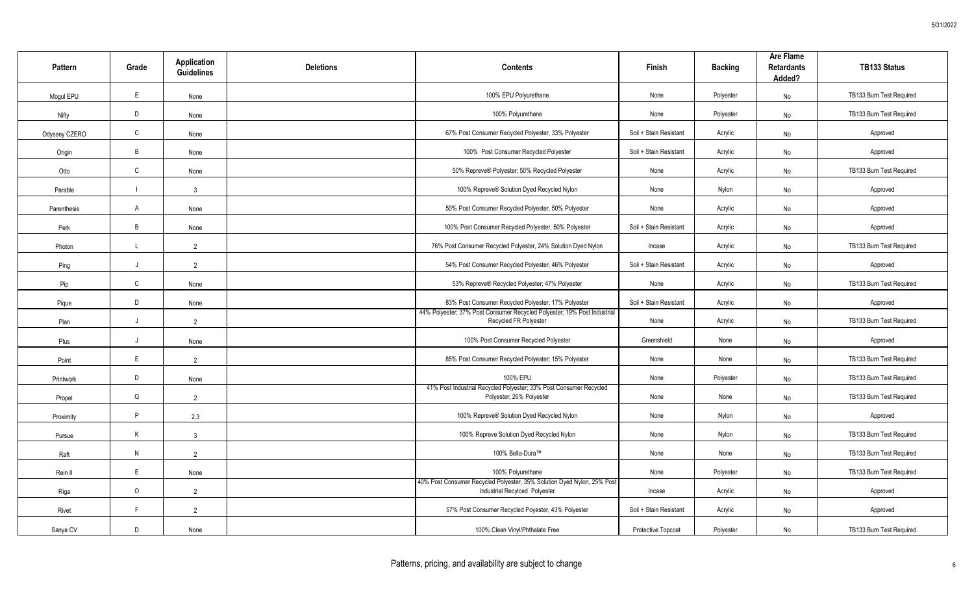| <b>Pattern</b> | Grade          | Application<br><b>Guidelines</b> | <b>Deletions</b> | <b>Contents</b>                                                                                          | Finish                 | <b>Backing</b> | <b>Are Flame</b><br><b>Retardants</b><br>Added? | TB133 Status             |
|----------------|----------------|----------------------------------|------------------|----------------------------------------------------------------------------------------------------------|------------------------|----------------|-------------------------------------------------|--------------------------|
| Mogul EPU      | E              | None                             |                  | 100% EPU Polyurethane                                                                                    | None                   | Polyester      | No                                              | TB133 Burn Test Required |
| Nifty          | D              | None                             |                  | 100% Polyurethane                                                                                        | None                   | Polyester      | No                                              | TB133 Burn Test Required |
| Odyssey CZERO  | C              | None                             |                  | 67% Post Consumer Recycled Polyester, 33% Polyester                                                      | Soil + Stain Resistant | Acrylic        | No                                              | Approved                 |
| Origin         | $\overline{B}$ | None                             |                  | 100% Post Consumer Recycled Polyester                                                                    | Soil + Stain Resistant | Acrylic        | No                                              | Approved                 |
| Otto           | C              | None                             |                  | 50% Repreve® Polyester; 50% Recycled Polyester                                                           | None                   | Acrylic        | No                                              | TB133 Burn Test Required |
| Parable        |                | 3                                |                  | 100% Repreve® Solution Dyed Recycled Nylon                                                               | None                   | Nylon          | No                                              | Approved                 |
| Parenthesis    | A              | None                             |                  | 50% Post Consumer Recycled Polyester, 50% Polyester                                                      | None                   | Acrylic        | No                                              | Approved                 |
| Perk           | B              | None                             |                  | 100% Post Consumer Recycled Polyester, 50% Polyester                                                     | Soil + Stain Resistant | Acrylic        | No                                              | Approved                 |
| Photon         | <b>L</b>       | $\overline{2}$                   |                  | 76% Post Consumer Recycled Polyester, 24% Solution Dyed Nylon                                            | Incase                 | Acrylic        | No                                              | TB133 Burn Test Required |
| Ping           | $\cdot$        | $\overline{2}$                   |                  | 54% Post Consumer Recycled Polyester, 46% Polyester                                                      | Soil + Stain Resistant | Acrylic        | No                                              | Approved                 |
| Pip            | C              | None                             |                  | 53% Repreve® Recycled Polyester; 47% Polyester                                                           | None                   | Acrylic        | No                                              | TB133 Burn Test Required |
| Pique          | D              | None                             |                  | 83% Post Consumer Recycled Polyester, 17% Polyester                                                      | Soil + Stain Resistant | Acrylic        | No                                              | Approved                 |
| Plan           | $\cdot$        | $\overline{2}$                   |                  | 44% Polyester; 37% Post Consumer Recycled Polyester; 19% Post Industrial<br>Recycled FR Polyester        | None                   | Acrylic        | No                                              | TB133 Burn Test Required |
| Plus           | $\cdot$        | None                             |                  | 100% Post Consumer Recycled Polyester                                                                    | Greenshield            | None           | No                                              | Approved                 |
| Point          | E              | $\overline{2}$                   |                  | 85% Post Consumer Recycled Polyester; 15% Polyester                                                      | None                   | None           | No                                              | TB133 Burn Test Required |
| Printwork      | D              | None                             |                  | 100% EPU                                                                                                 | None                   | Polyester      | No                                              | TB133 Burn Test Required |
| Propel         | Q              | 2                                |                  | 41% Post Industrial Recycled Polyester; 33% Post Consumer Recycled<br>Polyester; 26% Polyester           | None                   | None           | No                                              | TB133 Burn Test Required |
| Proximity      | P              | 2,3                              |                  | 100% Repreve® Solution Dyed Recycled Nylon                                                               | None                   | Nylon          | No                                              | Approved                 |
| Pursue         | K              | $\mathbf{3}$                     |                  | 100% Repreve Solution Dyed Recycled Nylon                                                                | None                   | Nylon          | No                                              | TB133 Burn Test Required |
| Raft           | $\mathsf{N}$   | $\overline{2}$                   |                  | 100% Bella-Dura™                                                                                         | None                   | None           | No                                              | TB133 Burn Test Required |
| Rein II        | E              | None                             |                  | 100% Polyurethane                                                                                        | None                   | Polyester      | No                                              | TB133 Burn Test Required |
| Riga           | $\Omega$       | $\overline{2}$                   |                  | 40% Post Consumer Recycled Polyester, 35% Solution Dyed Nylon, 25% Post<br>Industrial Recylced Polyester | Incase                 | Acrylic        | No                                              | Approved                 |
| Rivet          | F              | 2                                |                  | 57% Post Consumer Recycled Poyester, 43% Polyester                                                       | Soil + Stain Resistant | Acrylic        | No                                              | Approved                 |
| Sanya CV       | D              | None                             |                  | 100% Clean Vinyl/Phthalate Free                                                                          | Protective Topcoat     | Polyester      | No                                              | TB133 Burn Test Required |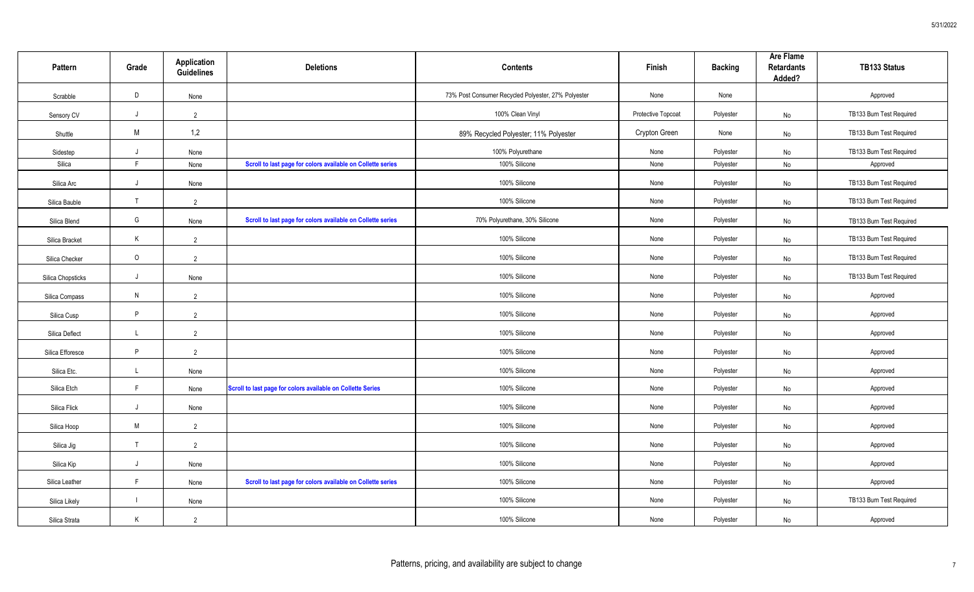| Pattern           | Grade        | Application<br><b>Guidelines</b> | <b>Deletions</b>                                            | <b>Contents</b>                                     | <b>Finish</b>      | <b>Backing</b> | <b>Are Flame</b><br><b>Retardants</b><br>Added? | <b>TB133 Status</b>      |
|-------------------|--------------|----------------------------------|-------------------------------------------------------------|-----------------------------------------------------|--------------------|----------------|-------------------------------------------------|--------------------------|
| Scrabble          | D            | None                             |                                                             | 73% Post Consumer Recycled Polyester, 27% Polyester | None               | None           |                                                 | Approved                 |
| Sensory CV        | $\mathsf{J}$ | $\overline{2}$                   |                                                             | 100% Clean Vinyl                                    | Protective Topcoat | Polyester      | No                                              | TB133 Burn Test Required |
| Shuttle           | M            | 1,2                              |                                                             | 89% Recycled Polyester; 11% Polyester               | Crypton Green      | None           | No                                              | TB133 Burn Test Required |
| Sidestep          | $\cdot$      | None                             |                                                             | 100% Polyurethane                                   | None               | Polyester      | No                                              | TB133 Burn Test Required |
| Silica            | $\mathsf F$  | None                             | Scroll to last page for colors available on Collette series | 100% Silicone                                       | None               | Polyester      | No                                              | Approved                 |
| Silica Arc        | J            | None                             |                                                             | 100% Silicone                                       | None               | Polyester      | No                                              | TB133 Burn Test Required |
| Silica Bauble     | T            | 2                                |                                                             | 100% Silicone                                       | None               | Polyester      | No                                              | TB133 Burn Test Required |
| Silica Blend      | G            | None                             | Scroll to last page for colors available on Collette series | 70% Polyurethane, 30% Silicone                      | None               | Polyester      | No                                              | TB133 Burn Test Required |
| Silica Bracket    | K            | $\overline{2}$                   |                                                             | 100% Silicone                                       | None               | Polyester      | No                                              | TB133 Burn Test Required |
| Silica Checker    | $\circ$      | $\overline{2}$                   |                                                             | 100% Silicone                                       | None               | Polyester      | No                                              | TB133 Burn Test Required |
| Silica Chopsticks | $\cdot$      | None                             |                                                             | 100% Silicone                                       | None               | Polyester      | No                                              | TB133 Burn Test Required |
| Silica Compass    | $\mathsf{N}$ | 2                                |                                                             | 100% Silicone                                       | None               | Polyester      | No                                              | Approved                 |
| Silica Cusp       | P            | $\overline{2}$                   |                                                             | 100% Silicone                                       | None               | Polyester      | No                                              | Approved                 |
| Silica Deflect    | $\mathbf{I}$ | $\overline{2}$                   |                                                             | 100% Silicone                                       | None               | Polyester      | No                                              | Approved                 |
| Silica Efforesce  | P            | 2                                |                                                             | 100% Silicone                                       | None               | Polyester      | No                                              | Approved                 |
| Silica Etc.       |              | None                             |                                                             | 100% Silicone                                       | None               | Polyester      | No                                              | Approved                 |
| Silica Etch       | F.           | None                             | Scroll to last page for colors available on Collette Series | 100% Silicone                                       | None               | Polyester      | No                                              | Approved                 |
| Silica Flick      | $\cdot$      | None                             |                                                             | 100% Silicone                                       | None               | Polyester      | No                                              | Approved                 |
| Silica Hoop       | M            | $\overline{2}$                   |                                                             | 100% Silicone                                       | None               | Polyester      | No                                              | Approved                 |
| Silica Jig        | T            | $\overline{2}$                   |                                                             | 100% Silicone                                       | None               | Polyester      | No                                              | Approved                 |
| Silica Kip        | $\cdot$      | None                             |                                                             | 100% Silicone                                       | None               | Polyester      | No                                              | Approved                 |
| Silica Leather    |              | None                             | Scroll to last page for colors available on Collette series | 100% Silicone                                       | None               | Polyester      | No                                              | Approved                 |
| Silica Likely     |              | None                             |                                                             | 100% Silicone                                       | None               | Polyester      | No                                              | TB133 Burn Test Required |
| Silica Strata     | K            | $\overline{2}$                   |                                                             | 100% Silicone                                       | None               | Polyester      | No                                              | Approved                 |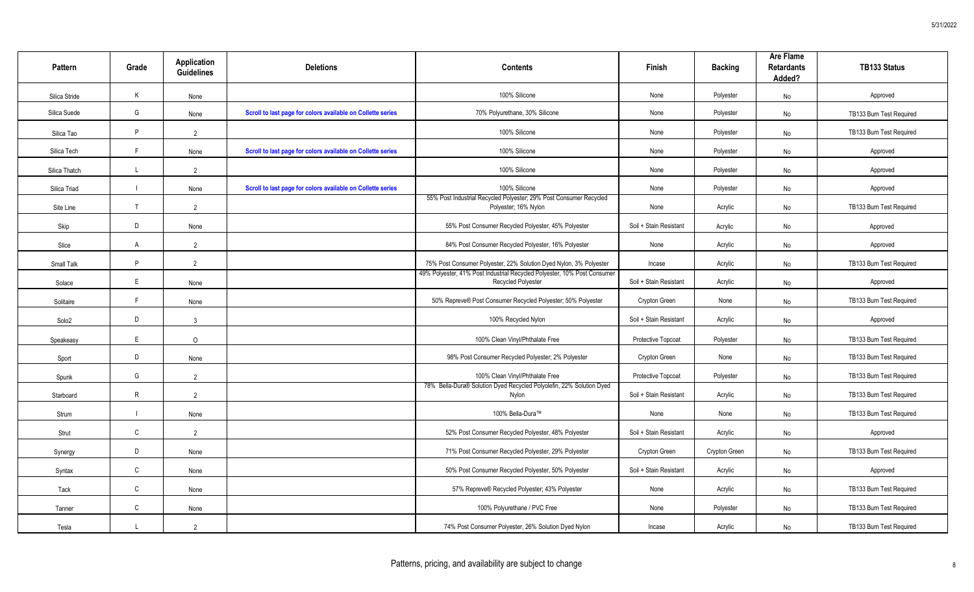| <b>Pattern</b>    | Grade        | Application<br><b>Guidelines</b> | <b>Deletions</b>                                            | <b>Contents</b>                                                                                       | Finish                 | <b>Backing</b> | <b>Are Flame</b><br><b>Retardants</b><br>Added? | <b>TB133 Status</b>      |
|-------------------|--------------|----------------------------------|-------------------------------------------------------------|-------------------------------------------------------------------------------------------------------|------------------------|----------------|-------------------------------------------------|--------------------------|
| Silica Stride     | K            | None                             |                                                             | 100% Silicone                                                                                         | None                   | Polyester      | No                                              | Approved                 |
| Silica Suede      | G            | None                             | Scroll to last page for colors available on Collette series | 70% Polyurethane, 30% Silicone                                                                        | None                   | Polyester      | No                                              | TB133 Burn Test Required |
| Silica Tao        | P            | 2                                |                                                             | 100% Silicone                                                                                         | None                   | Polyester      | No                                              | TB133 Burn Test Required |
| Silica Tech       | F.           | None                             | Scroll to last page for colors available on Collette series | 100% Silicone                                                                                         | None                   | Polyester      | No                                              | Approved                 |
| Silica Thatch     | $\mathbf{I}$ | $\overline{2}$                   |                                                             | 100% Silicone                                                                                         | None                   | Polyester      | No                                              | Approved                 |
| Silica Triad      |              | None                             | Scroll to last page for colors available on Collette series | 100% Silicone                                                                                         | None                   | Polyester      | No                                              | Approved                 |
| Site Line         | $\mathsf{T}$ | 2                                |                                                             | 55% Post Industrial Recycled Polyester; 29% Post Consumer Recycled<br>Polyester; 16% Nylon            | None                   | Acrylic        | No                                              | TB133 Burn Test Required |
| Skip              | D            | None                             |                                                             | 55% Post Consumer Recycled Polyester, 45% Polyester                                                   | Soil + Stain Resistant | Acrylic        | No                                              | Approved                 |
| Slice             | A            | $\overline{2}$                   |                                                             | 84% Post Consumer Recycled Polyester, 16% Polyester                                                   | None                   | Acrylic        | No                                              | Approved                 |
| Small Talk        | P            | $\overline{2}$                   |                                                             | 75% Post Consumer Polyester, 22% Solution Dyed Nylon, 3% Polyester                                    | Incase                 | Acrylic        | No                                              | TB133 Burn Test Required |
| Solace            | E            | None                             |                                                             | 49% Polyester, 41% Post Industrial Recycled Polyester, 10% Post Consumer<br><b>Recycled Polyester</b> | Soil + Stain Resistant | Acrylic        | No                                              | Approved                 |
| Solitaire         | F            | None                             |                                                             | 50% Repreve® Post Consumer Recycled Polyester; 50% Polyester                                          | Crypton Green          | None           | No                                              | TB133 Burn Test Required |
| Solo <sub>2</sub> | D            | $\mathbf{3}$                     |                                                             | 100% Recycled Nylon                                                                                   | Soil + Stain Resistant | Acrylic        | No                                              | Approved                 |
| Speakeasy         | E            | $\circ$                          |                                                             | 100% Clean Vinyl/Phthalate Free                                                                       | Protective Topcoat     | Polyester      | No                                              | TB133 Burn Test Required |
| Sport             | D            | None                             |                                                             | 98% Post Consumer Recycled Polyester; 2% Polyester                                                    | Crypton Green          | None           | No                                              | TB133 Burn Test Required |
| Spunk             | G            | $\overline{2}$                   |                                                             | 100% Clean Vinyl/Phthalate Free                                                                       | Protective Topcoat     | Polyester      | No                                              | TB133 Burn Test Required |
| Starboard         | $\mathsf{R}$ | $\overline{2}$                   |                                                             | 78% Bella-Dura® Solution Dyed Recycled Polyolefin, 22% Solution Dyed<br>Nylon                         | Soil + Stain Resistant | Acrylic        | No                                              | TB133 Burn Test Required |
| Strum             |              | None                             |                                                             | 100% Bella-Dura™                                                                                      | None                   | None           | No                                              | TB133 Burn Test Required |
| Strut             | $\mathsf{C}$ | $\overline{2}$                   |                                                             | 52% Post Consumer Recycled Polyester, 48% Polyester                                                   | Soil + Stain Resistant | Acrylic        | No                                              | Approved                 |
| Synergy           | D            | None                             |                                                             | 71% Post Consumer Recycled Polyester, 29% Polyester                                                   | Crypton Green          | Crypton Green  | No                                              | TB133 Burn Test Required |
| Syntax            | $\mathsf{C}$ | None                             |                                                             | 50% Post Consumer Recycled Polyester, 50% Polyester                                                   | Soil + Stain Resistant | Acrylic        | No                                              | Approved                 |
| Tack              | $\mathsf{C}$ | None                             |                                                             | 57% Repreve® Recycled Polyester; 43% Polyester                                                        | None                   | Acrylic        | No                                              | TB133 Burn Test Required |
| Tanner            | $\mathsf{C}$ | None                             |                                                             | 100% Polyurethane / PVC Free                                                                          | None                   | Polyester      | No                                              | TB133 Burn Test Required |
| Tesla             | $\mathbf{I}$ | 2                                |                                                             | 74% Post Consumer Polyester, 26% Solution Dyed Nylon                                                  | Incase                 | Acrylic        | No                                              | TB133 Burn Test Required |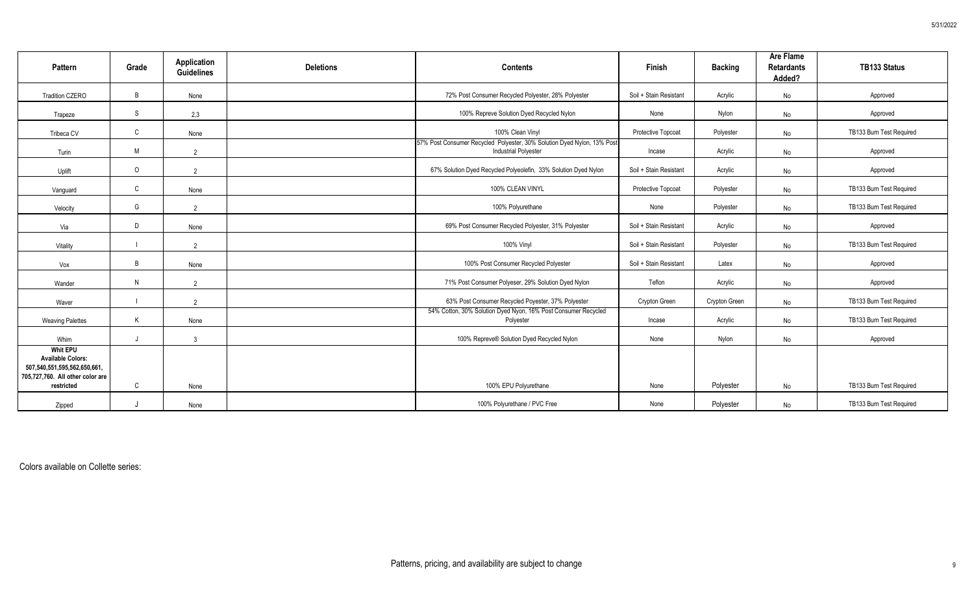| Pattern                                                                                                                       | Grade          | Application<br><b>Guidelines</b> | <b>Deletions</b> | <b>Contents</b>                                                                                        | Finish                 | <b>Backing</b> | <b>Are Flame</b><br><b>Retardants</b><br>Added? | TB133 Status             |
|-------------------------------------------------------------------------------------------------------------------------------|----------------|----------------------------------|------------------|--------------------------------------------------------------------------------------------------------|------------------------|----------------|-------------------------------------------------|--------------------------|
| <b>Tradition CZERO</b>                                                                                                        | B.             | None                             |                  | 72% Post Consumer Recycled Polyester, 28% Polyester                                                    | Soil + Stain Resistant | Acrylic        | No                                              | Approved                 |
| Trapeze                                                                                                                       | S              | 2,3                              |                  | 100% Repreve Solution Dyed Recycled Nylon                                                              | None                   | Nylon          | No                                              | Approved                 |
| Tribeca CV                                                                                                                    | $\mathsf{C}$   | None                             |                  | 100% Clean Vinyl                                                                                       | Protective Topcoat     | Polyester      | No                                              | TB133 Burn Test Required |
| Turin                                                                                                                         | M              | 2                                |                  | 57% Post Consumer Recycled Polyester, 30% Solution Dyed Nylon, 13% Post<br><b>Industrial Polyester</b> | Incase                 | Acrylic        | No                                              | Approved                 |
| Uplift                                                                                                                        | $\Omega$       | $\overline{2}$                   |                  | 67% Solution Dyed Recycled Polyeolefin, 33% Solution Dyed Nylon                                        | Soil + Stain Resistant | Acrylic        | No                                              | Approved                 |
| Vanguard                                                                                                                      | $\mathsf{C}$   | None                             |                  | 100% CLEAN VINYL                                                                                       | Protective Topcoat     | Polyester      | No                                              | TB133 Burn Test Required |
| Velocity                                                                                                                      | G              | 2                                |                  | 100% Polyurethane                                                                                      | None                   | Polyester      | No                                              | TB133 Burn Test Required |
| Via                                                                                                                           | $\Gamma$       | None                             |                  | 69% Post Consumer Recycled Polyester, 31% Polyester                                                    | Soil + Stain Resistant | Acrylic        | No                                              | Approved                 |
| Vitality                                                                                                                      |                | $\overline{2}$                   |                  | 100% Vinyl                                                                                             | Soil + Stain Resistant | Polyester      | No                                              | TB133 Burn Test Required |
| Vox                                                                                                                           | $\overline{B}$ | None                             |                  | 100% Post Consumer Recycled Polyester                                                                  | Soil + Stain Resistant | Latex          | No                                              | Approved                 |
| Wander                                                                                                                        | N              | 2                                |                  | 71% Post Consumer Polyeser, 29% Solution Dyed Nylon                                                    | Teflon                 | Acrylic        | No                                              | Approved                 |
| Waver                                                                                                                         |                | 2                                |                  | 63% Post Consumer Recycled Poyester, 37% Polyester                                                     | Crypton Green          | Crypton Green  | No                                              | TB133 Burn Test Required |
| <b>Weaving Palettes</b>                                                                                                       | K              | None                             |                  | 54% Cotton, 30% Solution Dyed Nyon, 16% Post Consumer Recycled<br>Polyester                            | Incase                 | Acrylic        | No                                              | TB133 Burn Test Required |
| Whim                                                                                                                          |                | 3                                |                  | 100% Repreve® Solution Dyed Recycled Nylon                                                             | None                   | Nylon          | No                                              | Approved                 |
| <b>Whit EPU</b><br><b>Available Colors:</b><br>507,540,551,595,562,650,661,<br>705,727,760. All other color are<br>restricted | C              | None                             |                  | 100% EPU Polyurethane                                                                                  | None                   | Polyester      | No                                              | TB133 Burn Test Required |
| Zipped                                                                                                                        |                | None                             |                  | 100% Polyurethane / PVC Free                                                                           | None                   | Polyester      | No                                              | TB133 Burn Test Required |

Colors available on Collette series: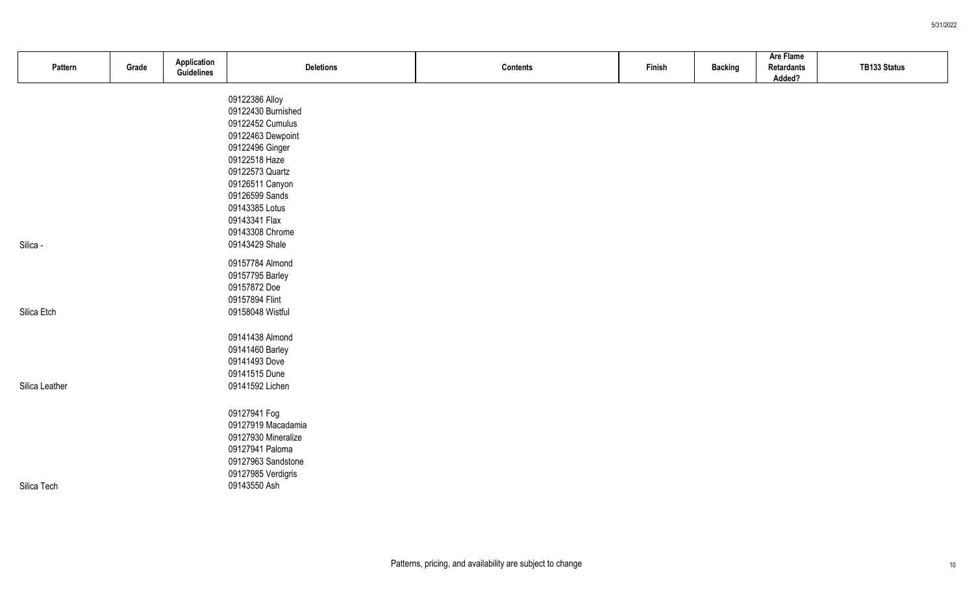|                |       | Application |                     |          |        |                | Are Flame         |              |
|----------------|-------|-------------|---------------------|----------|--------|----------------|-------------------|--------------|
| Pattern        | Grade | Guidelines  | <b>Deletions</b>    | Contents | Finish | <b>Backing</b> | <b>Retardants</b> | TB133 Status |
|                |       |             |                     |          |        |                | Added?            |              |
|                |       |             | 09122386 Alloy      |          |        |                |                   |              |
|                |       |             | 09122430 Burnished  |          |        |                |                   |              |
|                |       |             | 09122452 Cumulus    |          |        |                |                   |              |
|                |       |             | 09122463 Dewpoint   |          |        |                |                   |              |
|                |       |             | 09122496 Ginger     |          |        |                |                   |              |
|                |       |             | 09122518 Haze       |          |        |                |                   |              |
|                |       |             | 09122573 Quartz     |          |        |                |                   |              |
|                |       |             | 09126511 Canyon     |          |        |                |                   |              |
|                |       |             | 09126599 Sands      |          |        |                |                   |              |
|                |       |             | 09143385 Lotus      |          |        |                |                   |              |
|                |       |             | 09143341 Flax       |          |        |                |                   |              |
|                |       |             | 09143308 Chrome     |          |        |                |                   |              |
| Silica -       |       |             | 09143429 Shale      |          |        |                |                   |              |
|                |       |             | 09157784 Almond     |          |        |                |                   |              |
|                |       |             | 09157795 Barley     |          |        |                |                   |              |
|                |       |             | 09157872 Doe        |          |        |                |                   |              |
|                |       |             | 09157894 Flint      |          |        |                |                   |              |
| Silica Etch    |       |             | 09158048 Wistful    |          |        |                |                   |              |
|                |       |             | 09141438 Almond     |          |        |                |                   |              |
|                |       |             | 09141460 Barley     |          |        |                |                   |              |
|                |       |             | 09141493 Dove       |          |        |                |                   |              |
|                |       |             | 09141515 Dune       |          |        |                |                   |              |
| Silica Leather |       |             | 09141592 Lichen     |          |        |                |                   |              |
|                |       |             |                     |          |        |                |                   |              |
|                |       |             | 09127941 Fog        |          |        |                |                   |              |
|                |       |             | 09127919 Macadamia  |          |        |                |                   |              |
|                |       |             | 09127930 Mineralize |          |        |                |                   |              |
|                |       |             | 09127941 Paloma     |          |        |                |                   |              |
|                |       |             | 09127963 Sandstone  |          |        |                |                   |              |
|                |       |             | 09127985 Verdigris  |          |        |                |                   |              |
| Silica Tech    |       |             | 09143550 Ash        |          |        |                |                   |              |